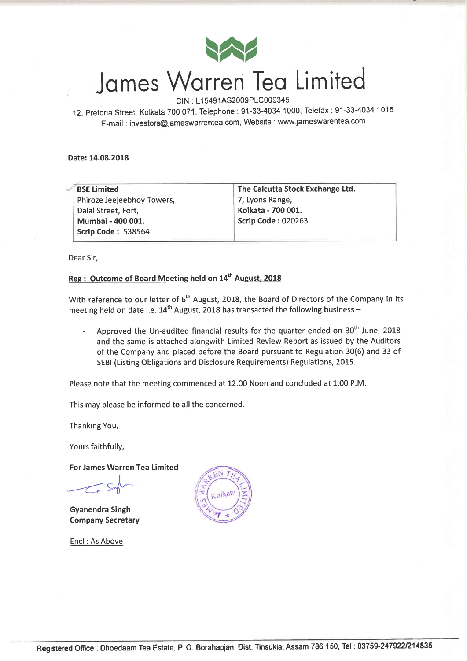

# James Warren Tea Limited

CIN : L1 5491AS2009P1C009345

12, pretoria Street, Kolkata 700 071, Telephone:91-33-4034 1000, Telefax:91-33-4034 <sup>1015</sup> E-mail . investors@jameswarrentea.com, Website : www.jameswarentea.com

Date:14.08.2018

| <b>BSE Limited</b>         | The Calcutta Stock Exchange Ltd. |  |  |
|----------------------------|----------------------------------|--|--|
| Phiroze Jeejeebhoy Towers, | 7, Lyons Range,                  |  |  |
| Dalal Street, Fort,        | Kolkata - 700 001.               |  |  |
| Mumbai - 400 001.          | <b>Scrip Code: 020263</b>        |  |  |
| <b>Scrip Code: 538564</b>  |                                  |  |  |

Dear Sir,

### Reg : Outcome of Board Meeting held on 14<sup>th</sup> August, 2018

With reference to our letter of 6<sup>th</sup> August, 2018, the Board of Directors of the Company in its meeting held on date i.e.  $14^{th}$  August, 2018 has transacted the following business -

- Approved the Un-audited financial results for the quarter ended on  $30<sup>th</sup>$  June, 2018 and the same is attached alongwith Limited Review Report as issued by the Auditors of the Company and placed before the Board pursuant to Regulation 30(6) and 33 of SEBI (Listing Obligations and Disclosure Requirements) Regulations, 2015.

Please note that the meeting commenced at 12.00 Noon and concluded at 1.00 P.M.

This may please be informed to all the concerned.

Thanking You,

Yours faithfully,

For James Warren Tea Limited

 $\leq$ sint

Gyanendra Singh Company Secretary

Encl : As Above

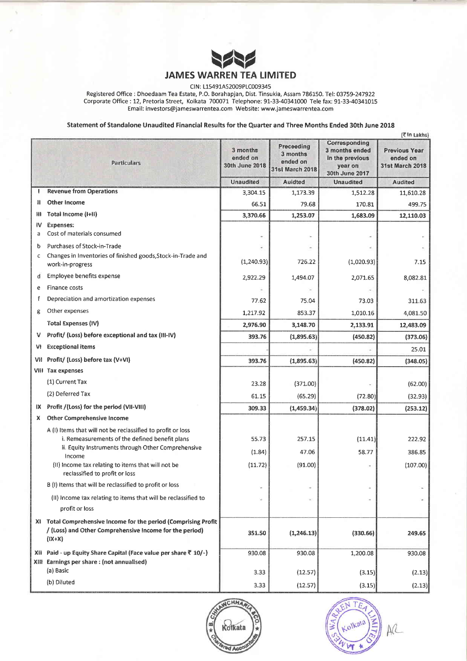

CIN: L15491AS2009PLC009345

Registered Office : Dhoedaam Tea Estate, P.O. Borahapjan, Dist. Tinsukia, Assam 786150. Tel: 03759-247922 Corporate Office : 12, Pretoria Street, Kolkata 700071 Telephone:91-33-4034L000 Tele fax: 91-33-40341015 Ernail: investors@jameswarrentea.com Website: www"jameswarrentea.com

Statement of Standalone Unaudited Financial Results for the Quarter and Three Months Ended 30th June 2018

|     | (₹In Lakhs)                                                                                                                            |                                        |                                                              |                                                                                 |                                                            |  |
|-----|----------------------------------------------------------------------------------------------------------------------------------------|----------------------------------------|--------------------------------------------------------------|---------------------------------------------------------------------------------|------------------------------------------------------------|--|
|     | <b>Particulars</b>                                                                                                                     | 3 months<br>ended on<br>30th June 2018 | Preceeding<br>3 months<br>ended on<br><b>31st March 2018</b> | Corresponding<br>3 months ended<br>in the previous<br>year on<br>30th June 2017 | <b>Previous Year</b><br>ended on<br><b>31st March 2018</b> |  |
|     |                                                                                                                                        | <b>Unaudited</b>                       | <b>Auidted</b>                                               | <b>Unaudited</b>                                                                | <b>Audited</b>                                             |  |
| J.  | <b>Revenue from Operations</b>                                                                                                         | 3,304.15                               | 1,173.39                                                     | 1,512.28                                                                        | 11,610.28                                                  |  |
| Ħ   | Other Income                                                                                                                           | 66.51                                  | 79.68                                                        | 170.81                                                                          | 499.75                                                     |  |
| Ш   | Total Income (I+II)                                                                                                                    | 3,370.66                               | 1,253.07                                                     | 1,683.09                                                                        | 12,110.03                                                  |  |
| IV  | <b>Expenses:</b>                                                                                                                       |                                        |                                                              |                                                                                 |                                                            |  |
| a   | Cost of materials consumed                                                                                                             |                                        |                                                              |                                                                                 |                                                            |  |
| b   | Purchases of Stock-in-Trade                                                                                                            |                                        |                                                              |                                                                                 |                                                            |  |
| c   | Changes in Inventories of finished goods, Stock-in-Trade and<br>work-in-progress                                                       | (1, 240.93)                            | 726.22                                                       | (1,020.93)                                                                      | 7.15                                                       |  |
| ₫   | Employee benefits expense                                                                                                              | 2,922.29                               | 1,494.07                                                     | 2,071.65                                                                        | 8,082.81                                                   |  |
| e   | Finance costs                                                                                                                          |                                        |                                                              |                                                                                 |                                                            |  |
| f   | Depreciation and amortization expenses                                                                                                 | 77.62                                  | 75.04                                                        | 73.03                                                                           | 311.63                                                     |  |
| g   | Other expenses                                                                                                                         | 1,217.92                               | 853.37                                                       | 1,010.16                                                                        | 4,081.50                                                   |  |
|     | <b>Total Expenses (IV)</b>                                                                                                             | 2,976.90                               | 3,148.70                                                     | 2,133.91                                                                        | 12,483.09                                                  |  |
| V   | Profit/ (Loss) before exceptional and tax (III-IV)                                                                                     | 393.76                                 | (1,895.63)                                                   | (450.82)                                                                        | (373.06)                                                   |  |
| VI. | <b>Exceptional items</b>                                                                                                               |                                        |                                                              |                                                                                 | 25.01                                                      |  |
|     | VII Profit/ (Loss) before tax (V+VI)                                                                                                   | 393.76                                 | (1,895.63)                                                   | (450.82)                                                                        | (348.05)                                                   |  |
|     | <b>VIII</b> Tax expenses                                                                                                               |                                        |                                                              |                                                                                 |                                                            |  |
|     | (1) Current Tax                                                                                                                        | 23.28                                  | (371.00)                                                     |                                                                                 | (62.00)                                                    |  |
|     | (2) Deferred Tax                                                                                                                       | 61.15                                  | (65.29)                                                      | (72.80)                                                                         | (32.93)                                                    |  |
|     | IX Profit /(Loss) for the period (VII-VIII)                                                                                            | 309.33                                 | (1,459.34)                                                   | (378.02)                                                                        | (253.12)                                                   |  |
| X.  | <b>Other Comprehensive Income</b>                                                                                                      |                                        |                                                              |                                                                                 |                                                            |  |
|     | A (I) Items that will not be reclassified to profit or loss                                                                            |                                        |                                                              |                                                                                 |                                                            |  |
|     | i. Remeasurements of the defined benefit plans                                                                                         | 55.73                                  | 257.15                                                       | (11.41)                                                                         | 222.92                                                     |  |
|     | ii. Equity Instruments through Other Comprehensive<br>Income                                                                           | (1.84)                                 | 47.06                                                        | 58.77                                                                           | 386.85                                                     |  |
|     | (II) Income tax relating to items that will not be<br>reclassified to profit or loss                                                   | (11.72)                                | (91.00)                                                      |                                                                                 | (107.00)                                                   |  |
|     | B (I) Items that will be reclassified to profit or loss                                                                                |                                        |                                                              |                                                                                 |                                                            |  |
|     | (II) Income tax relating to items that will be reclassified to<br>profit or loss                                                       |                                        | ÷                                                            |                                                                                 |                                                            |  |
|     | XI Total Comprehensive Income for the period (Comprising Profit<br>/ (Loss) and Other Comprehensive Income for the period)<br>$(1X+X)$ | 351.50                                 | (1,246.13)                                                   | (330.66)                                                                        | 249.65                                                     |  |
|     | XII Paid - up Equity Share Capital (Face value per share ₹ 10/-)                                                                       | 930.08                                 | 930.08                                                       | 1,200.08                                                                        | 930.08                                                     |  |
|     | XIII Earnings per share: (not annualised)<br>(a) Basic                                                                                 | 3.33                                   | (12.57)                                                      | (3.15)                                                                          | (2.13)                                                     |  |
|     | (b) Diluted                                                                                                                            | 3.33                                   | (12.57)                                                      | (3.15)                                                                          | (2.13)                                                     |  |



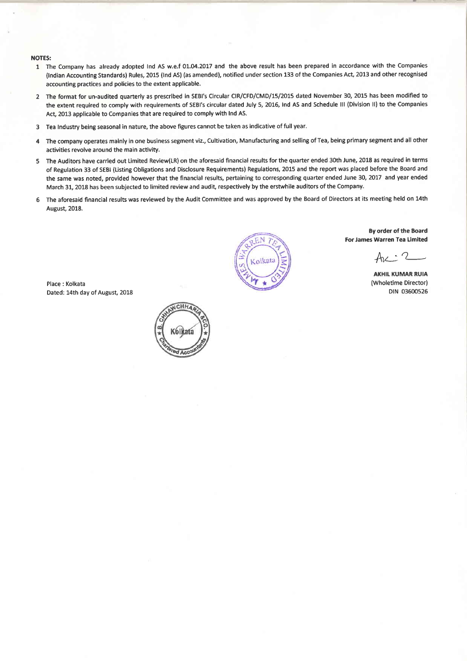#### NOTES:

- 1 The Company has already adopted Ind AS w.e.f 01.04.2017 and the above result has been prepared in accordance with the Companies (lndian Accounting Standards) Rules, 2015 (lnd AS) (as amended), notified under section 133 of the Companies Act, 2013 and other recognised accounting practices and policies to the extent applicable.
- 2 The format for un-audited quarterly as prescribed in SEBI's Circular CIR/CFD/CMD/15/2015 dated November 30, 2015 has been modified to the extent required to comply with requirements of SEBI'S circular dated July 5, 2016, Ind AS and Schedule lll (Division ll) to the Companies Act, 2013 applicable to Companies that are required to comply with Ind AS.
- 3 Tea Industry being seasonal in nature, the above figures cannot be taken as indicative offull year.
- 4 The company operates mainly in one business segment viz., Cultivation, Manufacturing and selling of Tea, being primary segment and all other activities revolve around the main activity.
- 5 The Auditors have carried out Limited Review(LR) on the aforesaid financial results for the quarter ended 30th June, 2018 as required in terms of Regulation 33 of SEBI (Listing Obligations and Disclosure Requirements) Regulations, 2015 and the report was placed before the Board and the same was noted, provided however that the financial results, pertaining to corresponding quarter ended June 30, 2017 and year ended March 31, 2018 has been subjected to limited review and audit, respectively by the erstwhile auditors of the Company.
- 6 The aforesaid financial results was reviewed by the Audit Committee and was approved by the Board of Directors at its meeting held on 14th August, 2018.

Place : Kolkata Dated: 14th day of August, 2018





By order of the Eoard For James Warren Tea Limited

 $Ar: 2$ 

AKHIL KUMAR RUIA (Wholetime Director) DIN 03600526